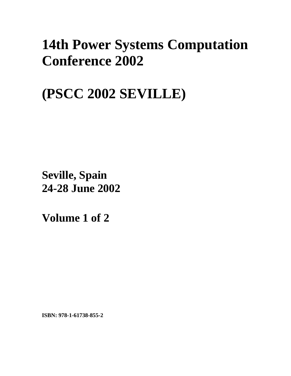# **14th Power Systems Computation Conference 2002**

# **(PSCC 2002 SEVILLE)**

**Seville, Spain 24-28 June 2002**

**Volume 1 of 2** 

**ISBN: 978-1-61738-855-2**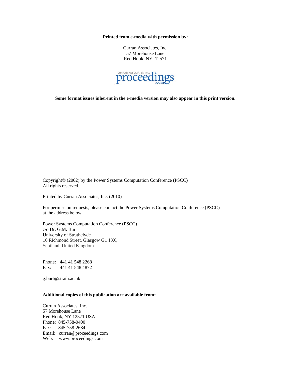**Printed from e-media with permission by:** 

Curran Associates, Inc. 57 Morehouse Lane Red Hook, NY 12571



**Some format issues inherent in the e-media version may also appear in this print version.** 

Copyright© (2002) by the Power Systems Computation Conference (PSCC) All rights reserved.

Printed by Curran Associates, Inc. (2010)

For permission requests, please contact the Power Systems Computation Conference (PSCC) at the address below.

Power Systems Computation Conference (PSCC) c/o Dr. G.M. Burt University of Strathclyde 16 Richmond Street, Glasgow G1 1XQ Scotland, United Kingdom

Phone: 441 41 548 2268 Fax: 441 41 548 4872

g.burt@strath.ac.uk

## **Additional copies of this publication are available from:**

Curran Associates, Inc. 57 Morehouse Lane Red Hook, NY 12571 USA Phone: 845-758-0400 Fax: 845-758-2634 Email: curran@proceedings.com Web: www.proceedings.com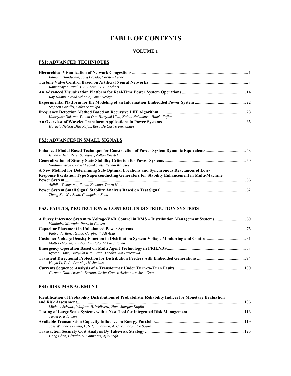# **TABLE OF CONTENTS**

## **VOLUME 1**

#### **PS1: ADVANCED TECHNIQUES**

| Edmund Handschin, Jörg Brosda, Carsten Leder                                |  |
|-----------------------------------------------------------------------------|--|
|                                                                             |  |
| Ramnarayan Patel, T. S. Bhatti, D. P. Kothari                               |  |
|                                                                             |  |
| Ray Klump, David Schoole, Tom Overbye                                       |  |
|                                                                             |  |
| Stephen Carullo, Chika Nwankpa                                              |  |
|                                                                             |  |
| Katsuyasu Nakano, Yutaka Ota, Hiroyuki Ukai, Koichi Nakamura, Hideki Fujita |  |
|                                                                             |  |
| Horacio Nelson Diaz Rojas, Rosa De Castro Fernandez                         |  |

## **PS2: ADVANCES IN SMALL SIGNALS**

| Istvan Erlich, Peter Schegner, Zoltan Kasztel                                                  |  |
|------------------------------------------------------------------------------------------------|--|
|                                                                                                |  |
| Vladimir Stroev, Pavel Legkokonets, Evgeni Karasev                                             |  |
| A New Method for Determining Sub-Optimal Locations and Synchronous Reactances of Low-          |  |
| Response Excitation Type Superconducting Generators for Stability Enhancement in Multi-Machine |  |
|                                                                                                |  |
| Akihiko Yokoyama, Fumio Kawano, Tanzo Nitta                                                    |  |
|                                                                                                |  |
| Zheng Xu, Wei Shao, Changchun Zhou                                                             |  |

## **PS3: FAULTS, PROTECTION & CONTROL IN DISTRIBUTION SYSTEMS**

| Vladimiro Miranda, Patricia Calisto                             |  |
|-----------------------------------------------------------------|--|
|                                                                 |  |
| Pietro Varilone, Guido Carpinelli, Ali Abur                     |  |
| Matti Lehtonen, Kristian Uusitalo, Mikko Jalonen                |  |
| Ryoichi Hara, Hiroyuki Kita, Eiichi Tanaka, Jun Hasegawa        |  |
| Haiyu Li, P. A. Crossley, N. Jenkins                            |  |
| Guzman Diaz, Arsenio Barbon, Javier Gomez-Aleixandre, Jose Coto |  |

## **PS4: RISK MANAGEMENT**

| <b>Identification of Probability Distributions of Probabilistic Reliability Indices for Monetary Evaluation</b> |  |
|-----------------------------------------------------------------------------------------------------------------|--|
|                                                                                                                 |  |
| Michael Schwan, Wolfram H. Wellssow, Hans-Juergen Koglin                                                        |  |
|                                                                                                                 |  |
| Tarjei Kristiansen                                                                                              |  |
|                                                                                                                 |  |
| Jose Wanderley Lima, P. S. Quintanilha, A. C. Zambroni De Souza                                                 |  |
|                                                                                                                 |  |
| Hong Chen, Claudio A. Canizares, Ajit Singh                                                                     |  |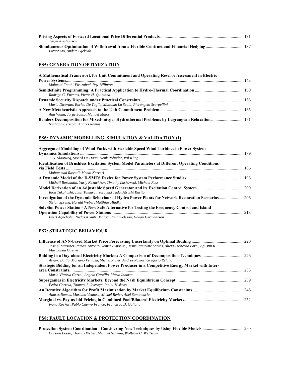| Tarjei Kristiansen         |  |
|----------------------------|--|
|                            |  |
| Birger Mo, Anders Gjelsvik |  |
|                            |  |

## **PS5: GENERATION OPTIMIZATION**

| A Mathematical Framework for Unit Commitment and Operating Reserve Assessment in Electric |  |
|-------------------------------------------------------------------------------------------|--|
|                                                                                           |  |
| Mahmud Fotuhi-Firuzabad, Roy Billinton                                                    |  |
|                                                                                           |  |
| Rodrigo C. Fuentes, Victor H. Quintana                                                    |  |
|                                                                                           |  |
| Maria Dicorato, Enrico De Tuglie, Massimo La Scala, Pierangelo Scarpellini                |  |
|                                                                                           |  |
| Ana Viana, Jorge Sousa, Manuel Matos                                                      |  |
|                                                                                           |  |
| Santiago Cerisola, Andres Ramos                                                           |  |

## **PS6: DYNAMIC MODELLING, SIMULATION & VALIDATION (I)**

| Aggregated Modelling of Wind Parks with Variable Speed Wind Turbines in Power System                    |     |
|---------------------------------------------------------------------------------------------------------|-----|
|                                                                                                         |     |
| J. G. Slootweg, Sjoerd De Haan, Henk Polinder, Wil Kling                                                |     |
| <b>Identification of Brushless Excitation System Model Parameters at Different Operating Conditions</b> |     |
|                                                                                                         |     |
| Mohammad Rasouli, Mehdi Karrari                                                                         |     |
|                                                                                                         |     |
| Mikhail Borodulin, Yuriy Kazachkov, Timothy Laskowski, Michael Ross                                     |     |
|                                                                                                         |     |
| Rion Takahashi, Junji Tamura, Yasuyuki Tada, Atsushi Kurita                                             |     |
|                                                                                                         |     |
| Stefan Spreng, Harald Weber, Matthias Hladky                                                            |     |
| SolvSim Power Station - A New Safe Alternative for Testing the Frequency Control and Island             |     |
|                                                                                                         | 213 |
| Evert Agneholm, Niclas Krantz, Morgan Emanuelsson, Häkan Hermansson                                     |     |

## **PS7: STRATEGIC BEHAVIOUR**

| Jose L. Martinez Ramos, Antonio Gomez Exposito, Jesus Riquelme Santos, Alicia Troncoso Lora, Agustin R.<br>Marulanda Guerra |     |
|-----------------------------------------------------------------------------------------------------------------------------|-----|
|                                                                                                                             |     |
| Alvaro Baillo, Mariano Ventosa, Michel Rivier, Andres Ramos, Gregorio Relano                                                |     |
| Strategic Bidding for an Independent Power Producer in a Competitive Energy Market with Inter-                              |     |
|                                                                                                                             | 233 |
| Maria Vittoria Cazzol, Angelo Garzillo, Mario Innorta                                                                       |     |
|                                                                                                                             |     |
| Pedro Correia, Thomas J. Overbye, Ian A. Hiskens                                                                            |     |
|                                                                                                                             |     |
| Andres Ramos, Mariano Ventosa, Michel Rivier, Abel Santamaria                                                               |     |
|                                                                                                                             |     |
| Ivana Kockar, Pablo Cuervo Franco, Francisco D. Galiana                                                                     |     |

# **PS8: FAULT LOCATION & PROTECTION COORDINATION**

| Carsten Boese, Thomas Weber, Michael Schwan, Wolfram H. Wellssow |  |
|------------------------------------------------------------------|--|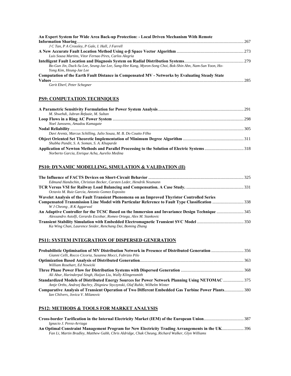| An Expert System for Wide Area Back-up Protection: - Local Driven Mechanism With Remote                 |       |
|---------------------------------------------------------------------------------------------------------|-------|
|                                                                                                         | . 267 |
| J C Tan, P A Crossley, P Gale, I. Hall, J Farrell                                                       |       |
|                                                                                                         |       |
| Luis Sousa Martins, Vitor Fernao Pires, Carlos Alegria                                                  |       |
|                                                                                                         |       |
| Bo-Gun Jin, Duck-Su Lee, Seung-Jae Lee, Sang-Hee Kang, Myeon-Song Choi, Bok-Shin Ahn, Nam-Sun Yoon, Ho- |       |
| Yong Kim, Heung-Jae Lee                                                                                 |       |
| Computation of the Earth Fault Distance in Compensated MV - Networks by Evaluating Steady State         |       |
| <b>Values</b>                                                                                           | 285   |
| Gerit Eberl, Peter Schegner                                                                             |       |

**PS9: COMPUTATION TECHNIQUES**

| M. Shwehdi, Jubran Refaaie, M. Sultan                             |  |
|-------------------------------------------------------------------|--|
|                                                                   |  |
| Noel Janssens, Amadou Kamagate                                    |  |
|                                                                   |  |
| Davi Arentz, Marcus Schilling, Julio Souza, M. B. Do Coutto Filho |  |
|                                                                   |  |
| Shubha Pandit, S. A. Soman, S. A. Khaparde                        |  |
|                                                                   |  |
| Norberto Garcia, Enrique Acha, Aurelio Medina                     |  |

## **PS10: DYNAMIC MODELLING, SIMULATION & VALIDATION (II)**

| Compensated Transmission Line Model with Particular Reference to Fault Type Classification 338 |
|------------------------------------------------------------------------------------------------|
|                                                                                                |
| An Adaptive Controller for the TCSC Based on the Immersion and Invariance Design Technique 345 |
|                                                                                                |
|                                                                                                |
|                                                                                                |
|                                                                                                |

## **PS11: SYSTEM INTEGRATION OF DISPERSED GENERATION**

| Gianni Celli, Rocco Cicoria, Susanna Mocci, Fabrizio Pilo                                         |  |
|---------------------------------------------------------------------------------------------------|--|
|                                                                                                   |  |
| William Rosehart, Ed Nowicki                                                                      |  |
|                                                                                                   |  |
| Ali Abur, Harinderpal Singh, Haijun Liu, Wally Klingensmith                                       |  |
| Standardized Models of Distributed Energy Sources for Power Network Planning Using NETOMAC 375    |  |
| Antje Orths, Andrzej Bachry, Zbigniew Styczynski, Olaf Ruhle, Wilhelm Winter                      |  |
| Comparative Analysis of Transient Operation of Two Different Embedded Gas Turbine Power Plants380 |  |
| Ian Chilvers, Jovica V. Milanovic                                                                 |  |

## **PS12: METHODS & TOOLS FOR MARKET ANALYSIS**

| Ignacio J. Perez-Arriaga                                                                         |  |
|--------------------------------------------------------------------------------------------------|--|
|                                                                                                  |  |
| Fan Li, Martin Bradley, Matthew Gabb, Chris Aldridge, Chak Cheung, Richard Walker, Glyn Williams |  |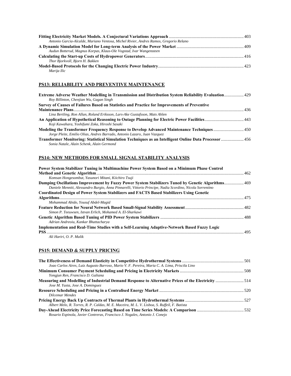| Antonio Garcia-Alcalde, Mariano Ventosa, Michel Rivier, Andres Ramos, Gregorio Relano |  |
|---------------------------------------------------------------------------------------|--|
|                                                                                       |  |
| Audun Botterud, Magnus Korpas, Klaus-Ole Vogstad, Ivar Wangensteen                    |  |
|                                                                                       |  |
| Thor Bjorkvoll, Bjorn H. Bakken                                                       |  |
|                                                                                       |  |
| Marija Ilic                                                                           |  |

## **PS13: RELIABILITY AND PREVENTIVE MAINTENANCE**

| Extreme Adverse Weather Modelling in Transmission and Distribution System Reliability Evaluation 429<br>Roy Billinton, Chenjian Wu, Gagan Singh                         |  |
|-------------------------------------------------------------------------------------------------------------------------------------------------------------------------|--|
| Survey of Causes of Failures Based on Statistics and Practice for Improvements of Preventive                                                                            |  |
|                                                                                                                                                                         |  |
| Lina Bertling, Ron Allan, Roland Eriksson, Lars-Ake Gustafsson, Mats Ahlen                                                                                              |  |
| Koji Kawahara, Yoshifumi Zoka, Hiroshi Sasaki                                                                                                                           |  |
| Modeling the Transformer Frequency Response to Develop Advanced Maintenance Techniques  450<br>Jorge Pleite, Emilio Olias, Andres Barrado, Antonio Lazaro, Juan Vazquez |  |
| Transformer Monitoring: Statistical Simulation Techniques as an Intelligent Online Data Processor  456                                                                  |  |
| Sonia Natale, Alain Schenk, Alain Germond                                                                                                                               |  |

## **PS14: NEW METHODS FOR SMALL SIGNAL STABILITY ANALYSIS**

| Power System Stabilizer Tuning in Multimachine Power System Based on a Minimum Phase Control              |  |
|-----------------------------------------------------------------------------------------------------------|--|
|                                                                                                           |  |
| Komsan Hongesombut, Yasunori Mitani, Kiichiro Tsuji                                                       |  |
| Damping Oscillations Improvement by Fuzzy Power System Stabilizers Tuned by Genetic Algorithms 469        |  |
| Daniele Menniti, Alessandro Burgio, Anna Pinnarelli, Vittorio Principe, Nadia Scordino, Nicola Sorrentino |  |
| <b>Coordinated Design of Power System Stabilizers and FACTS Based Stabilizers Using Genetic</b>           |  |
|                                                                                                           |  |
| Mohammad Abido, Yousuf Abdel-Magid                                                                        |  |
|                                                                                                           |  |
| Simon P. Teeuwsen, Istvan Erlich, Mohamed A. El-Sharkawi                                                  |  |
|                                                                                                           |  |
| Adrian Andreoiu, Kankar Bhattacharya                                                                      |  |
| Implementation and Real-Time Studies with a Self-Learning Adaptive-Network Based Fuzzy Logic              |  |
| <b>PSS</b>                                                                                                |  |
|                                                                                                           |  |

*Ali Hariri, O. P. Malik* 

## **PS15: DEMAND & SUPPLY PRICING**

| Joao Carlos Aires, Luiz Augusto Barroso, Mario V. F. Pereira, Maria C. A. Lima, Priscila Lino      |  |
|----------------------------------------------------------------------------------------------------|--|
|                                                                                                    |  |
| Yongjun Ren, Francisco D. Galiana                                                                  |  |
| Measuring and Modelling of Industrial Demand Response to Alternative Prices of the Electricity 514 |  |
| Jose M. Yusta, Jose A. Dominguez                                                                   |  |
|                                                                                                    |  |
| Dilcemar Mendes                                                                                    |  |
|                                                                                                    |  |
| Albert Melo, R. Torres, R. P. Caldas, M. E. Maceira, M. L. V. Lisboa, S. Ruffeil, F. Batista       |  |
|                                                                                                    |  |
| Rosario Espinola, Javier Contreras, Francisco J. Nogales, Antonio J. Conejo                        |  |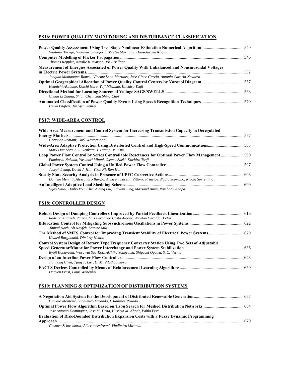## **PS16: POWER QUALITY MONITORING AND DISTURBANCE CLASSIFICATION**

| Vladimir Terzija, Vladimir Stanojevic, Martin Maximini, Hans-Jürgen Koglin                     |  |
|------------------------------------------------------------------------------------------------|--|
|                                                                                                |  |
| Thomas Keppler, Neville R. Watson, Jos Arrillaga                                               |  |
| Measurement of Energies Associated of Power Quality With Unbalanced and Nonsinusoidal Voltages |  |
|                                                                                                |  |
| Joaquin Montaoana-Romeu, Vicente Leon-Martinez, Jose Giner-Garcia, Antonio Cazorla-Navarro     |  |
|                                                                                                |  |
| Kennichi Akabane, Koichi Nara, Yuji Mishima, Kiichiro Tsuji                                    |  |
|                                                                                                |  |
| Chuan Li Zhang, Shiun Chen, San Shing Choi                                                     |  |
|                                                                                                |  |
| Heiko Englert, Juergen Stenzel                                                                 |  |

## **PS17: WIDE-AREA CONTROL**

| Wide Area Measurement and Control System for Increasing Transmission Capacity in Deregulated              |  |
|-----------------------------------------------------------------------------------------------------------|--|
|                                                                                                           |  |
| Christian Rehtanz, Dirk Westermann                                                                        |  |
|                                                                                                           |  |
| Mark Damborg, S. S. Venkata, J. Huang, M. Kim                                                             |  |
|                                                                                                           |  |
| Fumitoshi Nakada, Yasunori Mitani, Osamu Saeki, Kiichiro Tsuji                                            |  |
|                                                                                                           |  |
| Joseph Leung, David J. Hill, Yixin Ni, Ron Hui                                                            |  |
|                                                                                                           |  |
| Daniele Menniti, Alessandro Burgio, Anna Pinnarelli, Vittorio Principe, Nadia Scordino, Nicola Sorrentino |  |
|                                                                                                           |  |
| Vijay Vittal, Haibo You, Chen-Ching Liu, Juhwan Jung, Massoud Amin, Rambabu Adapa                         |  |
|                                                                                                           |  |

## **PS18: CONTROLLER DESIGN**

| Rodrigo Andrade Ramos, Luis Fernando Costa Alberto, Newton Geraldo Bretas                     |  |
|-----------------------------------------------------------------------------------------------|--|
|                                                                                               |  |
| Ahmad Harb, Ali Nayfeh, Lamine Mili                                                           |  |
|                                                                                               |  |
| Khaled Barghouthi, Dimitriy Nikitin                                                           |  |
| Control System Design of Rotary Type Frequency Converter Station Using Two Sets of Adjustable |  |
|                                                                                               |  |
| Ryoji Kobayashi, Worawut Sae-Kok, Akihiko Yokoyama, Shigeaki Ogawa, S. C. Verma               |  |
|                                                                                               |  |
| Jianhong Chen, Tjing T. Lie, D. M. Vilathgamuwa                                               |  |
|                                                                                               |  |
| Damien Ernst, Louis Wehenkel                                                                  |  |

## **PS19: PLANNING & OPTIMIZATION OF DISTRIBUTION SYSTEMS**

| Claudio Monteiro, Vladimiro Miranda, I. Ramirez Rosado                                          |  |
|-------------------------------------------------------------------------------------------------|--|
|                                                                                                 |  |
| Jose Antonio Dominguez, Jose M. Yusta, Hussein M. Khodr, Pablo Pisa                             |  |
| <b>Evaluation of Risk-Bounded Distribution Expansion Costs with a Fuzzy Dynamic Programming</b> |  |
|                                                                                                 |  |
| Gustavo Schweikardt, Alberto Andreoni, Vladimiro Miranda                                        |  |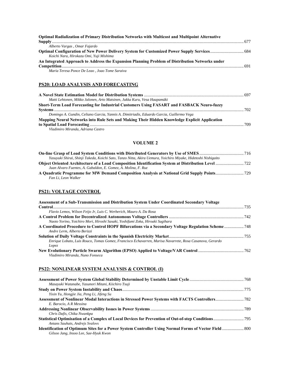| <b>Optimal Radialization of Primary Distribution Networks with Multicost and Multipoint Alternative</b> |  |
|---------------------------------------------------------------------------------------------------------|--|
|                                                                                                         |  |
| Alberto Vargas, Omar Fajardo                                                                            |  |
|                                                                                                         |  |
| Koichi Nara, Hirokazu Omi, Yuji Mishima                                                                 |  |
| An Integrated Approach to Address the Expansion Planning Problem of Distribution Networks under         |  |
|                                                                                                         |  |
| Maria Teresa Ponce De Leao, Joao Tome Saraiva                                                           |  |
|                                                                                                         |  |

## **PS20: LOAD ANALYSIS AND FORECASTING**

| Matti Lehtonen, Mikko Jalonen, Arto Matsinen, Jukka Kuru, Vesa Haapamäki                      |  |
|-----------------------------------------------------------------------------------------------|--|
| Short-Term Load Forecasting for Industrial Customers Using FASART and FASBACK Neuro-fuzzy     |  |
|                                                                                               |  |
| Domingo A. Gundin, Celiano Garcia, Yannis A. Dimitriadis, Eduardo Garcia, Guillermo Vega      |  |
| Mapping Neural Networks into Rule Sets and Making Their Hidden Knowledge Explicit Application |  |
|                                                                                               |  |
| Vladimiro Miranda, Adriana Castro                                                             |  |

#### **VOLUME 2**

| Yasuyuki Shirai, Shinji Takeda, Koichi Sato, Tanzo Nitta, Akira Uemura, Yoichiro Miyake, Hidetoshi Nishigaito |  |
|---------------------------------------------------------------------------------------------------------------|--|
|                                                                                                               |  |
| Juan Alvaro Fuentes, A. Gabaldon, E. Gomez, A. Molina, F. Ruz                                                 |  |
|                                                                                                               |  |
| Fan Li, Leon Walker                                                                                           |  |

# **PS21: VOLTAGE CONTROL**

| Assessment of a Sub-Transmission and Distribution System Under Coordinated Secondary Voltage            |  |
|---------------------------------------------------------------------------------------------------------|--|
|                                                                                                         |  |
| Flavio Lemos, Wilson Feijo Jr, Luis C. Werberich, Mauro A. Da Rosa                                      |  |
|                                                                                                         |  |
| Naoto Yorino, Yoichiro Mori, Hiroshi Sasaki, Yoshifumi Zoka, Hiroaki Sugihara                           |  |
|                                                                                                         |  |
| Andre Lerm. Alberto Berizzi                                                                             |  |
|                                                                                                         |  |
| Enrique Lobato, Luis Rouco, Tomas Gomez, Francisco Echavarren, Marisa Navarrete, Rosa Casanova, Gerardo |  |
| Lopez.                                                                                                  |  |
|                                                                                                         |  |
| Vladimiro Miranda, Nuno Fonseca                                                                         |  |

#### **PS22: NONLINEAR SYSTEM ANALYSIS & CONTROL (I)**

| Masayuki Watanabe, Yasunori Mitani, Kiichiro Tsuji                                                         |  |
|------------------------------------------------------------------------------------------------------------|--|
|                                                                                                            |  |
| Yixin Yu, Hongjie Jia, Peng Li, Jifeng Su                                                                  |  |
|                                                                                                            |  |
| E. Barocio. A R Messina                                                                                    |  |
|                                                                                                            |  |
| Chris Dafis, Chika Nwankpa                                                                                 |  |
|                                                                                                            |  |
| Antans Sauhats, Andrejs Svalovs                                                                            |  |
| 1000 Identification of Optimum Sites for a Power System Controller Using Normal Forms of Vector Field  800 |  |
| Gilsoo Jang, Insoo Lee, Sae-Hyuk Kwon                                                                      |  |
|                                                                                                            |  |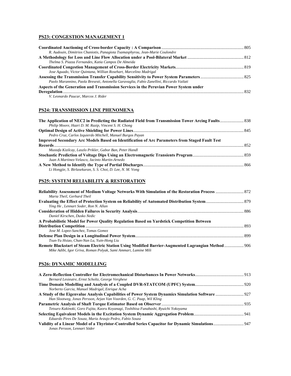## **PS23: CONGESTION MANAGEMENT 1**

| R. Audouin, Dimitrios Chaniotis, Panagiota Tsamasphyrou, Jean-Marie Coulondre            |  |
|------------------------------------------------------------------------------------------|--|
|                                                                                          |  |
| Thelma S. Piazza Fernandes, Katia Campos De Almeida                                      |  |
|                                                                                          |  |
| Jose Aguado, Victor Quintana, Willian Rosehart, Marcelino Madrigal                       |  |
|                                                                                          |  |
| Paolo Marannino, Paola Bresesti, Antonella Garavaglia, Fabio Zanellini, Riccardo Vailati |  |
| Aspects of the Generation and Transmission Services in the Peruvian Power System under   |  |
|                                                                                          |  |
| V. Leonardo Paucar, Marcos J. Rider                                                      |  |

## **PS24: TRANSMISSION LINE PHENOMENA**

| The Application of NEC2 in Predicting the Radiated Field from Transmission Tower Arcing Faults 838    |  |
|-------------------------------------------------------------------------------------------------------|--|
| Philip Moore, Hazri D. M. Razip, Vincent S. H. Chong                                                  |  |
|                                                                                                       |  |
| Pedro Cruz, Carlos Izquierdo Mitchell, Manuel Burgos Payan                                            |  |
| <b>Improved Secondary Arc Models Based on Identification of Arc Parameters from Staged Fault Test</b> |  |
|                                                                                                       |  |
| Mustafa Kizilcay, Laszlo Prikler, Gabor Ban, Peter Handl                                              |  |
|                                                                                                       |  |
| Juan A Martinez-Velasco, Jacinto Martin-Arnedo                                                        |  |
|                                                                                                       |  |
| Li Hongjie, S. Birlasekaran, S. S. Choi, D. Lee, N. M. Vong                                           |  |

## **PS25: SYSTEM RELIABILITY & RESTORATION**

| Marta Theil, Gerhard Theil                                                                                                                                                                                        |  |
|-------------------------------------------------------------------------------------------------------------------------------------------------------------------------------------------------------------------|--|
| Ying He, Lennart Soder, Ron N. Allan                                                                                                                                                                              |  |
| Daniel Kirschen, Dusko Nedic                                                                                                                                                                                      |  |
| A Probabilistic Model for Power Quality Regulation Based on Yardstick Competition Between                                                                                                                         |  |
| Jose M. Lopez-Sanchez, Tomas Gomez                                                                                                                                                                                |  |
| Tsun-Yu Hsiao, Chan-Nan Lu, Yuin-Hong Liu<br>Remote Blackstart of Steam Electric Station Using Modified Barrier-Augmented Lagrangian Method 906<br>Mike Adibi, Igor Griva, Roman Polyak, Sami Ammari, Lamine Mili |  |

## **PS26: DYNAMIC MODELLING**

| Bernard Lesieutre, Ernst Scholtz, George Verghese                                    |  |
|--------------------------------------------------------------------------------------|--|
|                                                                                      |  |
| Norberto Garcia, Manuel Madrigal, Enrique Acha                                       |  |
| Han Slootweg, Jonas Persson, Arjan Van Voorden, G. C. Paap, Wil Kling                |  |
|                                                                                      |  |
| Tetsuro Kakinoki, Goro Fujita, Kaoru Koyanagi, Toshihisa Funabashi, Ryuichi Yokoyama |  |
|                                                                                      |  |
| Eduardo Pires De Souza, Maria Araujo Pedro, Fabio Souza                              |  |
|                                                                                      |  |
| Jonas Persson, Lennart Söder                                                         |  |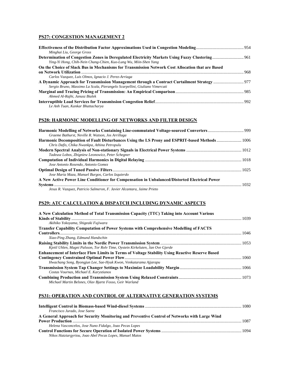## **PS27: CONGESTION MANAGEMENT 2**

| Minghai Liu, George Gross                                                                        |  |
|--------------------------------------------------------------------------------------------------|--|
|                                                                                                  |  |
| Ying-Yi Hong, Chih-Nein Chang-Chien, Kuo-Lung Wu, Miin-Shen Yang                                 |  |
| On the Choice of Slack Bus in Mechanisms for Transmission Network Cost Allocation that are Based |  |
|                                                                                                  |  |
| Carlos Vazquez, Luis Olmos, Ignacio J. Perez-Arriaga                                             |  |
| Sergio Bruno, Massimo La Scala, Pierangelo Scarpellini, Giuliano Vimercati                       |  |
| Ahmed Al-Rajhi, Janusz Bialek                                                                    |  |
|                                                                                                  |  |
| Le Anh Tuan, Kankar Bhattacharya                                                                 |  |

#### **PS28: HARMONIC MODELLING OF NETWORKS AND FILTER DESIGN**

| Graeme Bathurst, Neville R. Watson, Jos Arrillaga                                              |  |
|------------------------------------------------------------------------------------------------|--|
| Harmonic Decomposition of Fault Disturbances Using the LS Prony and ESPRIT-based Methods  1006 |  |
| Chris Dafis, Chika Nwankpa, Athina Petropulu                                                   |  |
|                                                                                                |  |
| Tadeusz Lobos, Zbigniew Leonowicz, Peter Schegner                                              |  |
|                                                                                                |  |
| Jose Antonio Rosendo, Antonio Gomez                                                            |  |
|                                                                                                |  |
| Jose Maria Maza, Manuel Burgos, Carlos Izquierdo                                               |  |
| A New Active Power Line Conditioner for Compensation in Unbalanced/Distorted Electrical Power  |  |
|                                                                                                |  |
| Jesus R. Vazquez, Patricio Salmeron, F. Javier Alcantara, Jaime Prieto                         |  |

## **PS29: ATC CALCULATION & DISPATCH INCLUDING DYNAMIC ASPECTS**

| A New Calculation Method of Total Transmission Capacity (TTC) Taking into Account Various       |  |
|-------------------------------------------------------------------------------------------------|--|
|                                                                                                 |  |
| Akihiko Yokoyama, Shigeaki Fujiwara                                                             |  |
| <b>Transfer Capability Computation of Power Systems with Comprehensive Modelling of FACTS</b>   |  |
|                                                                                                 |  |
| Xiao-Ping Zhang, Edmund Handschin                                                               |  |
|                                                                                                 |  |
| Kjetil Uhlen, Magni Palsson, Tor Rolv Time, Oystein Kirkeluten, Jan Ove Gjerde                  |  |
| Enhancement of Interface Flow Limits in Terms of Voltage Stability Using Reactive Reserve Based |  |
|                                                                                                 |  |
| Hwachang Song, Byongjun Lee, Sae-Hyuk Kwon, Venkatarama Ajjarapu                                |  |
|                                                                                                 |  |
| Costas Vournas, Michael E. Karystianos                                                          |  |
|                                                                                                 |  |
| Michael Martin Belsnes, Olav Bjarte Fosso, Geir Warland                                         |  |
|                                                                                                 |  |

#### **PS31: OPERATION AND CONTROL OF ALTERNATIVE GENERATION SYSTEMS**

| Francisco Jurado, Jose Saenz                                                                  |  |
|-----------------------------------------------------------------------------------------------|--|
| A General Approach for Security Monitoring and Preventive Control of Networks with Large Wind |  |
|                                                                                               |  |
| Helena Vasconcelos, Jose Nuno Fidalgo, Joao Pecas Lopes                                       |  |
| Nikos Hatziargyriou, Joao Abel Pecas Lopes, Manuel Matos                                      |  |
|                                                                                               |  |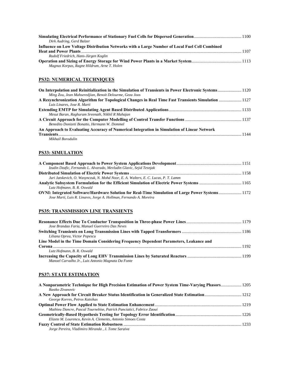| Dirk Audring, Gerd Balzer                                                                      |  |
|------------------------------------------------------------------------------------------------|--|
| Influence on Low Voltage Distribution Networks with a Large Number of Local Fuel Cell Combined |  |
| 1107                                                                                           |  |
| Rudolf Friedrich, Hans-Jürgen Koglin                                                           |  |
|                                                                                                |  |
| Magnus Korpas, Ragne Hildrum, Arne T. Holen                                                    |  |

## **PS32: NUMERICAL TECHNIQUES**

| On Interpolation and Reinitialization in the Simulation of Transients in Power Electronic Systems 1120 |  |
|--------------------------------------------------------------------------------------------------------|--|
| Ming Zou, Jean Mahseredjian, Benoit Delourme, Geza Joos                                                |  |
| A Resynchronization Algorithm for Topological Changes in Real Time Fast Transients Simulation  1127    |  |
| Luis Linares, Jose R. Marti                                                                            |  |
|                                                                                                        |  |
| Mesut Baran, Raghuram Sreenath, Nikhil R Mahajan                                                       |  |
|                                                                                                        |  |
| Benedito Donizeti Bonatto, Hermann W. Dommel                                                           |  |
| An Approach to Evaluating Accuracy of Numerical Integration in Simulation of Linear Network            |  |
|                                                                                                        |  |
| Mikhail Borodulin                                                                                      |  |

# **PS33: SIMULATION**

| Izudin Dzafic, Fernando L. Alvarado, Mevludin Glavic, Sejid Tesnjak                              |  |
|--------------------------------------------------------------------------------------------------|--|
|                                                                                                  |  |
| Juri Jatskevich, O. Wasynczuk, N. Mohd Noor, E. A. Walters, E. C. Lucas, P. T. Lamm              |  |
|                                                                                                  |  |
| Lutz Hofmann, B. R. Oswald                                                                       |  |
| OVNI: Integrated Software/Hardware Solution for Real-Time Simulation of Large Power Systems 1172 |  |
| Jose Marti, Luis R. Linares, Jorge A. Hollman, Fernando A. Moreira                               |  |

## **PS35: TRANSMISSION LINE TRANSIENTS**

| Jose Brandao Faria, Manuel Guerreiro Das Neves                                         |  |
|----------------------------------------------------------------------------------------|--|
|                                                                                        |  |
| Liliana Oprea, Victor Popescu                                                          |  |
| Line Model in the Time Domain Considering Frequency Dependent Parameters, Leakance and |  |
|                                                                                        |  |
| Lutz Hofmann, B. R. Oswald                                                             |  |
|                                                                                        |  |
| Manoel Carvalho Jr., Luis Antonio Magnata Da Fonte                                     |  |

# **PS37: STATE ESTIMATION**

| A Nonparametric Technique for High Precision Estimation of Power System Time-Varying Phasors 1205<br>Rastko Zivanovic |  |
|-----------------------------------------------------------------------------------------------------------------------|--|
| A New Approach for Circuit Breaker Status Identification in Generalized State Estimation 1212                         |  |
| George Korres, Petros Katsikas                                                                                        |  |
|                                                                                                                       |  |
| Mathieu Dancre, Pascal Tournebise, Patrick Panciatici, Fabrice Zaoui                                                  |  |
|                                                                                                                       |  |
| Elizete M. Lourenco, Kevin A. Clements, Antonio Simoes Costa                                                          |  |
|                                                                                                                       |  |
| Jorge Pereira, Vladimiro Miranda, J. Tome Saraiva                                                                     |  |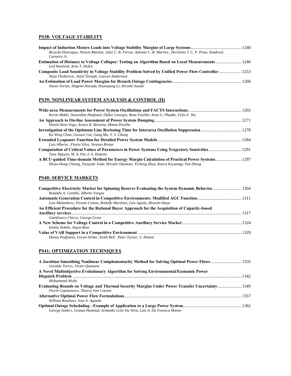## **PS38: VOLTAGE STABILITY**

| Ricardo Henriques, Nelson Martins, Julio C. R. Ferraz, Antonio C. B. Martins, Herminio J. C. P. Pinto, Sandoval |  |
|-----------------------------------------------------------------------------------------------------------------|--|
| Carneiro Jr.                                                                                                    |  |
|                                                                                                                 |  |
| Leif Warland, Arne T. Holen                                                                                     |  |
| Composite Load Sensitivity in Voltage Stability Problem Solved by Unified Power Flow Controller  1253           |  |
| Nijaz Dizdarevic, Sejid Tesnjak, Goeran Andersson                                                               |  |
|                                                                                                                 |  |
| Naoto Yorino, Shigemi Harada, Huangiang Li, Hiroshi Sasaki                                                      |  |
|                                                                                                                 |  |

## **PS39: NONLINEAR SYSTEM ANALYSIS & CONTROL (II)**

| Kerim Mekki, Nouredine Hadjsaid, Didier Georges, Rene Feuillet, Arun G. Phadke, Felix F. Wu                                                                                                 |  |
|---------------------------------------------------------------------------------------------------------------------------------------------------------------------------------------------|--|
|                                                                                                                                                                                             |  |
| Daniel Ruiz-Vega, Arturo R. Messina, Mania Pavella                                                                                                                                          |  |
|                                                                                                                                                                                             |  |
| Ka Wing Chan, Guowei Cai, Gang Mu, T. S. Chung                                                                                                                                              |  |
|                                                                                                                                                                                             |  |
| Luis Alberto, Flavio Silva, Newton Bretas                                                                                                                                                   |  |
| Computation of Critical Values of Parameters in Power Systems Using Trajectory Sensivities 1291                                                                                             |  |
| Tony Nguyen, M. A. Pai, I. A. Hiskens                                                                                                                                                       |  |
| A BCU-guided Time-domain Method for Energy Margin Calculation of Practical Power Systems 1297<br>Hsiao-Dong Chiang, Yasuyuki Tada, Hiroshi Okamoto, Yicheng Zhou, Kaoru Koyanagi, Yan Zheng |  |
|                                                                                                                                                                                             |  |

#### **PS40: SERVICE MARKETS**

| Competitive Electricity Market for Spinning Reserve Evaluating the System Dynamic Behavior  1304 |  |
|--------------------------------------------------------------------------------------------------|--|
| Rolando A. Castillo, Alberto Vargas                                                              |  |
|                                                                                                  |  |
| Luis Malumbres, Vicente Comas, Rodolfo Martinez, Luis Aguilo, Ricardo Hoya                       |  |
| An Efficient Procedure for the Rational Buyer Approach for the Acquisition of Capacity-based     |  |
|                                                                                                  |  |
| Gianfranco Chicco, George Gross                                                                  |  |
|                                                                                                  |  |
| Emilia Nobile, Anjan Bose                                                                        |  |
|                                                                                                  |  |
| Danny Pudjianto, Goran Strbac, Keith Bell, Peter Turner, S. Ahmed                                |  |

## **PS41: OPTIMIZATION TECHNIQUES**

| A Jacobian Smoothing Nonlinear Complementarity Method for Solving Optimal Power Flows 1335<br>Geraldo Torres, Victor Ouintana |  |
|-------------------------------------------------------------------------------------------------------------------------------|--|
| A Novel Multiobjective Evolutionary Algorithm for Solving Environmental/Economic Power                                        |  |
|                                                                                                                               |  |
| Mohammad Abido                                                                                                                |  |
| Evaluating Bounds on Voltage and Thermal Security Margins Under Power Transfer Uncertainty 1349                               |  |
| Florin Capitanescu, Thierry Van Cutsem                                                                                        |  |
|                                                                                                                               |  |
| William Rosehart, Jose A. Aguado                                                                                              |  |
|                                                                                                                               |  |
| George Anders, Gomaa Hamoud, Armando Leite Da Silva, Luiz A. Da Fonseca Manso                                                 |  |